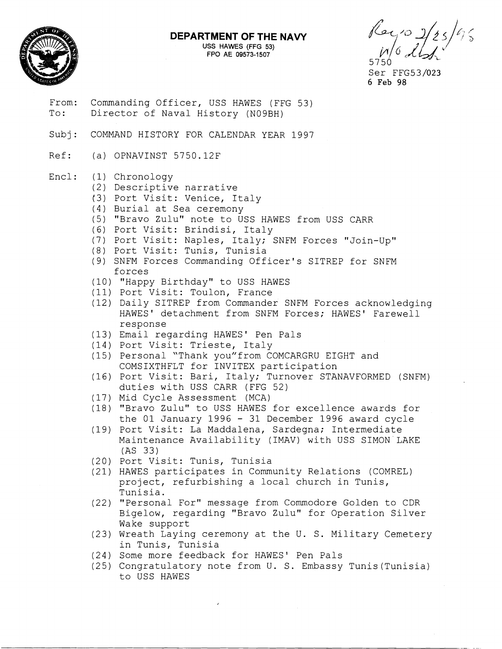

## **DEPARTMENT OF THE NAVY**

USS HAWES (FFG **53)**  FPO AE **09573-1507** 

 $\sqrt{2}$ 

- From: Commanding Officer, USS HAWES (FFG 53)<br>To: Director of Naval History (N09BH) Director of Naval History (N09BH)
- Subj: COMMAND HISTORY FOR CALENDAR YEAR 1997
- Ref: (a) OPNAVINST 5750.12F

## Encl: (1) Chronology

- (2) Descriptive narrative
- *(3)* Port Visit: Venice, Italy
- (4) Burial at Sea ceremony
- (5) "Bravo Zulu" note to USS HAWES from USS CARR
- (6) Port Visit: Brindisi, Italy
- (7) Port Visit: Naples, Italy; SNFM Forces "Join-Up"
- (8) Port Visit: Tunis, Tunisia
- (9) SNFM Forces Commanding Officer's SITREP for SNFM forces
- (10) "Happy Birthday" to USS HAWES
- (11) Port Visit: Toulon, France
- (12) Daily SITREP from Commander SNFM Forces acknowledging HAWES' detachment from SNFM Forces; HAWES' Farewell response
- (13) Email regarding HAWES' Pen Pals
- (14) Port Visit: Trieste, Italy
- (15) Personal "Thank you"from COMCARGRU EIGHT and COMSIXTHFLT for INVITEX participation
- (16) Port Visit: Bari, Italy; Turnover STANAVFORMED (SNFM) duties with USS CARR (FFG 52)
- (17) Mid Cycle Assessment (MCA)
- (18) "Bravo Zulu" to USS HAWES for excellence awards for the 01 January 1996 - 31 December 1996 award cycle
- (19) Port Visit: La Maddalena, Sardegna; Intermediate Maintenance Availability (IMAV) with USS SIMON LAKE (AS 33)
- (20) Port Visit: Tunis, Tunisia
- (21) HAWES participates in Community Relations (COMREL) project, refurbishing a local church in Tunis, Tunisia.
- (22) "Personal For" message from Commodore Golden to CDR Bigelow, regarding "Bravo Zulu" for Operation Silver Wake support
- (23) Wreath Laying ceremony at the U. S. Military Cemetery in Tunis, Tunisia
- (24) Some more feedback for HAWES' Pen Pals
- (25) Congratulatory note from U. S. Embassy Tunis(Tunisia) to USS HAWES

Ser FFG53/023 6 **Feb** 98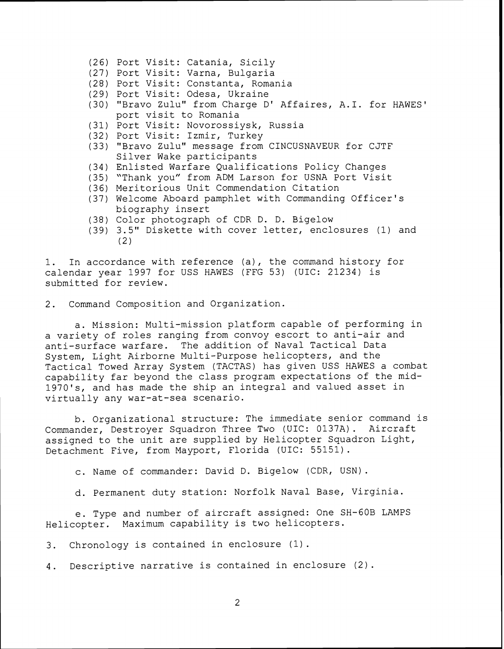- (26) Port Visit: Catania, Sicily
- (27) Port Visit: Varna, Bulgaria
- (28) Port Visit: Constanta, Romania
- (29) Port Visit: Odesa, Ukraine
- (30) "Bravo Zulu" from Charge D' Affaires, A.I. for HAWES' port visit to Romania
- (31) Port Visit: Novorossiysk, Russia
- (32) Port Visit: Izmir, Turkey
- (33) "Bravo Zulu" message from CINCUSNAVEUR for CJTF Silver Wake participants
- (34) Enlisted Warfare Qualifications Policy Changes
- (35) "Thank you" from ADM Larson for USNA Port Visit
- (36) Meritorious Unit Commendation Citation
- (37) Welcome Aboard pamphlet with Commanding Officer's biography insert
- (38) Color photograph of CDR D. D. Bigelow
- (39) 3.5" Diskette with cover letter, enclosures (1) and (2)

1. In accordance with reference (a), the command history for calendar year 1997 for USS HAWES (FFG 53) (UIC: 21234) is submitted for review.

2. Command Composition and Organization.

a. Mission: Multi-mission platform capable of performing in a variety of roles ranging from convoy escort to anti-air and anti-surface warfare. The addition of Naval Tactical Data System, Light Airborne Multi-Purpose helicopters, and the Tactical Towed Array System (TACTAS) has given USS HAWES a combat capability far beyond the class program expectations of the mid-1970's, and has made the ship an integral and valued asset in virtually any war-at-sea scenario.

b. Organizational structure: The immediate senior command is<br>nder. Destrover Squadron Three Two (UIC: 0137A). Aircraft Commander, Destroyer Squadron Three Two (UIC: 0137A). assigned to the unit are supplied by Helicopter Squadron Light, Detachment Five, from Mayport, Florida (UIC: 55151).

c. Name of commander: David D. Bigelow (CDR, USN).

d. Permanent duty station: Norfolk Naval Base, Virginia.

e. Type and number of aircraft assigned: One SH-GOB LAMPS Helicopter. Maximum capability is two helicopters.

3. Chronology is contained in enclosure (1).

4. Descriptive narrative is contained in enclosure (2).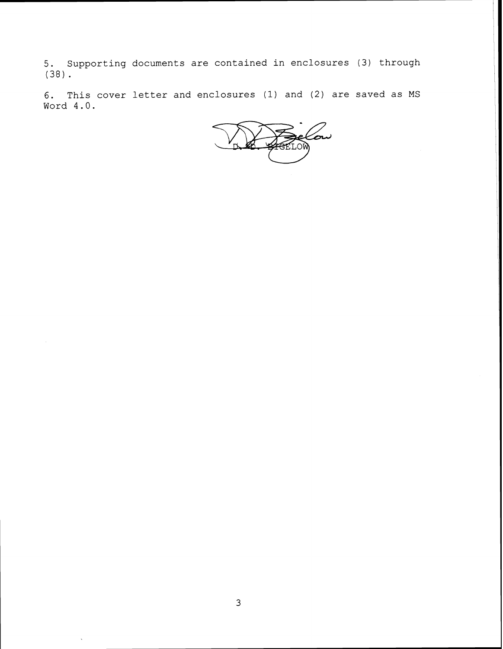5. Supporting documents are contained in enclosures (3) through (38).

6. This cover letter and enclosures (1) and (2) are saved as MS Word 4.0.

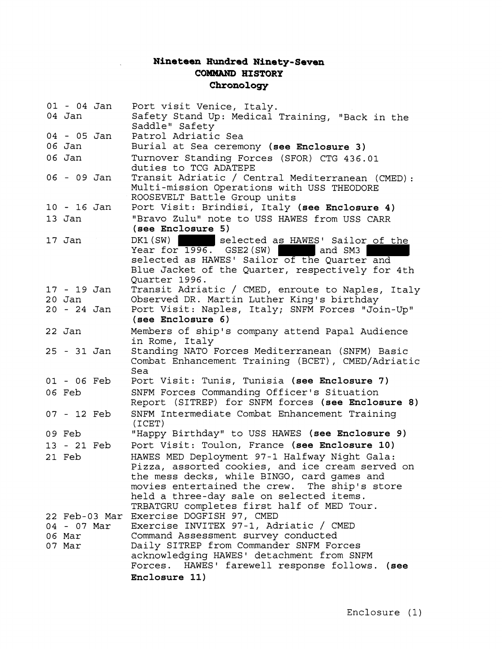## **Nineteen Hundred Ninety-Seven COMMAND HISTORY Chronology**

 $\mathbf{r}$ 

| $01 - 04$ Jan<br>04 Jan |               | Port visit Venice, Italy.<br>Safety Stand Up: Medical Training, "Back in the                    |
|-------------------------|---------------|-------------------------------------------------------------------------------------------------|
|                         |               | Saddle" Safety                                                                                  |
| 04 - 05 Jan<br>06 Jan   |               | Patrol Adriatic Sea                                                                             |
|                         |               | Burial at Sea ceremony (see Enclosure 3)                                                        |
| 06 Jan                  |               | Turnover Standing Forces (SFOR) CTG 436.01<br>duties to TCG ADATEPE                             |
| 06 - 09 Jan             |               | Transit Adriatic / Central Mediterranean (CMED):                                                |
|                         |               | Multi-mission Operations with USS THEODORE                                                      |
|                         |               | ROOSEVELT Battle Group units                                                                    |
| $10 - 16$ Jan           |               | Port Visit: Brindisi, Italy (see Enclosure 4)                                                   |
| 13 Jan                  |               | "Bravo Zulu" note to USS HAWES from USS CARR<br>(see Enclosure 5)                               |
| 17 Jan                  |               | DK1 (SW)<br>selected as HAWES' Sailor of the                                                    |
|                         |               | Year for $1996.$ GSE2(SW)<br>and SM3                                                            |
|                         |               | selected as HAWES' Sailor of the Quarter and                                                    |
|                         |               | Blue Jacket of the Quarter, respectively for 4th                                                |
|                         |               | Quarter 1996.                                                                                   |
| $17 - 19$ Jan           |               | Transit Adriatic / CMED, enroute to Naples, Italy                                               |
| $20$ Jan                |               | Observed DR. Martin Luther King's birthday                                                      |
| 20 - 24 Jan             |               | Port Visit: Naples, Italy; SNFM Forces "Join-Up"<br>(see Enclosure 6)                           |
| 22 Jan                  |               | Members of ship's company attend Papal Audience                                                 |
|                         |               | in Rome, Italy                                                                                  |
| 25 - 31 Jan             |               | Standing NATO Forces Mediterranean (SNFM) Basic                                                 |
|                         |               | Combat Enhancement Training (BCET), CMED/Adriatic                                               |
| 01 - 06 Feb             |               | Sea<br>Port Visit: Tunis, Tunisia (see Enclosure 7)                                             |
| 06 Feb                  |               |                                                                                                 |
|                         |               | SNFM Forces Commanding Officer's Situation<br>Report (SITREP) for SNFM forces (see Enclosure 8) |
| 07 - 12 Feb             |               | SNFM Intermediate Combat Enhancement Training                                                   |
| 09 Feb                  |               | $(\texttt{ICET})$<br>"Happy Birthday" to USS HAWES (see Enclosure 9)                            |
|                         |               |                                                                                                 |
| 13 - 21 Feb             |               | Port Visit: Toulon, France (see Enclosure 10)                                                   |
| 21 Feb                  |               | HAWES MED Deployment 97-1 Halfway Night Gala:                                                   |
|                         |               | Pizza, assorted cookies, and ice cream served on<br>the mess decks, while BINGO, card games and |
|                         |               | movies entertained the crew. The ship's store                                                   |
|                         |               | held a three-day sale on selected items.                                                        |
|                         |               | TRBATGRU completes first half of MED Tour.                                                      |
|                         | 22 Feb-03 Mar | Exercise DOGFISH 97, CMED                                                                       |
|                         | 04 - 07 Mar   | Exercise INVITEX 97-1, Adriatic / CMED                                                          |
| 06 Mar                  |               | Command Assessment survey conducted                                                             |
| 07 Mar                  |               | Daily SITREP from Commander SNFM Forces                                                         |
|                         |               | acknowledging HAWES' detachment from SNFM                                                       |
|                         |               | Forces. HAWES' farewell response follows. (see                                                  |
|                         |               | Enclosure 11)                                                                                   |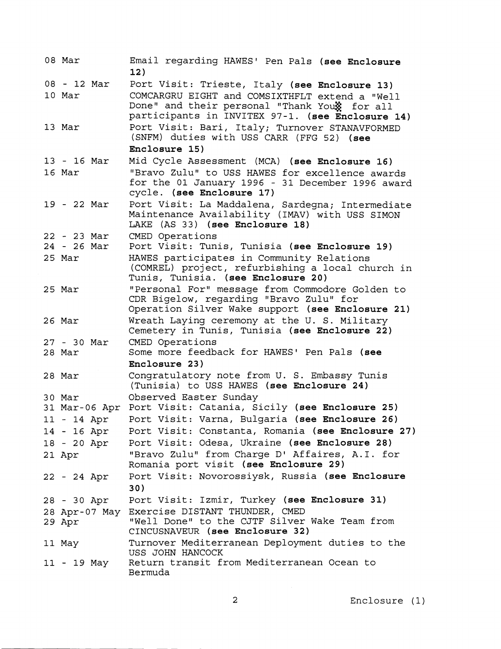| 08 Mar        | Email regarding HAWES' Pen Pals (see Enclosure<br>12)                                                                            |
|---------------|----------------------------------------------------------------------------------------------------------------------------------|
| 08 - 12 Mar   | Port Visit: Trieste, Italy (see Enclosure 13)                                                                                    |
| 10 Mar        | COMCARGRU EIGHT and COMSIXTHFLT extend a "Well                                                                                   |
|               | Done" and their personal "Thank Youx for all                                                                                     |
|               | participants in INVITEX 97-1. (see Enclosure 14)                                                                                 |
| 13 Mar        | Port Visit: Bari, Italy; Turnover STANAVFORMED                                                                                   |
|               | (SNFM) duties with USS CARR (FFG 52) (see<br>Enclosure 15)                                                                       |
|               |                                                                                                                                  |
| 13 - 16 Mar   | Mid Cycle Assessment (MCA) (see Enclosure 16)                                                                                    |
| 16 Mar        | "Bravo Zulu" to USS HAWES for excellence awards<br>for the 01 January 1996 - 31 December 1996 award<br>cycle. (see Enclosure 17) |
| 19 - 22 Mar   | Port Visit: La Maddalena, Sardegna; Intermediate                                                                                 |
|               | Maintenance Availability (IMAV) with USS SIMON                                                                                   |
|               | LAKE (AS 33) (see Enclosure 18)                                                                                                  |
| $22 - 23$ Mar | CMED Operations                                                                                                                  |
| $24 - 26$ Mar | Port Visit: Tunis, Tunisia (see Enclosure 19)                                                                                    |
| 25 Mar        | HAWES participates in Community Relations                                                                                        |
|               | (COMREL) project, refurbishing a local church in                                                                                 |
|               | Tunis, Tunisia. (see Enclosure 20)                                                                                               |
| 25 Mar        | "Personal For" message from Commodore Golden to                                                                                  |
|               | CDR Bigelow, regarding "Bravo Zulu" for                                                                                          |
|               | Operation Silver Wake support (see Enclosure 21)                                                                                 |
| 26 Mar        | Wreath Laying ceremony at the U. S. Military                                                                                     |
|               | Cemetery in Tunis, Tunisia (see Enclosure 22)                                                                                    |
| $27 - 30$ Mar | CMED Operations                                                                                                                  |
| 28 Mar        | Some more feedback for HAWES' Pen Pals (see                                                                                      |
|               | Enclosure 23)                                                                                                                    |
| 28 Mar        | Congratulatory note from U. S. Embassy Tunis<br>(Tunisia) to USS HAWES (see Enclosure 24)                                        |
| 30 Mar        | Observed Easter Sunday                                                                                                           |
| 31 Mar-06 Apr | Port Visit: Catania, Sicily (see Enclosure 25)                                                                                   |
| 11 - 14 Apr   | Port Visit: Varna, Bulgaria (see Enclosure 26)                                                                                   |
| 14 - 16 Apr   | Port Visit: Constanta, Romania (see Enclosure 27)                                                                                |
| 18 - 20 Apr   | Port Visit: Odesa, Ukraine (see Enclosure 28)                                                                                    |
| 21 Apr        | "Bravo Zulu" from Charge D' Affaires, A.I. for                                                                                   |
|               | Romania port visit (see Enclosure 29)                                                                                            |
| 22 - 24 Apr   | Port Visit: Novorossiysk, Russia (see Enclosure                                                                                  |
|               | 30)                                                                                                                              |
| 28 - 30 Apr   | Port Visit: Izmir, Turkey (see Enclosure 31)                                                                                     |
|               | 28 Apr-07 May Exercise DISTANT THUNDER, CMED                                                                                     |
| 29 Apr        | "Well Done" to the CJTF Silver Wake Team from<br>CINCUSNAVEUR (see Enclosure 32)                                                 |
| 11 May        | Turnover Mediterranean Deployment duties to the<br>USS JOHN HANCOCK                                                              |
|               |                                                                                                                                  |
| 11 - 19 May   | Return transit from Mediterranean Ocean to                                                                                       |

Enclosure (1)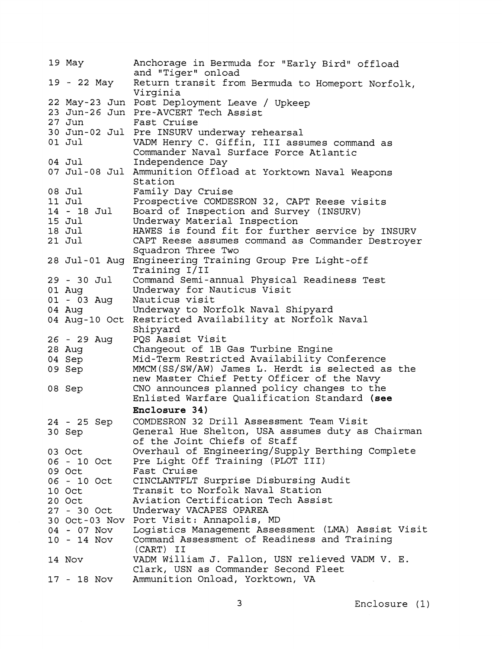| 19 May        | Anchorage in Bermuda for "Early Bird" offload<br>and "Tiger" onload   |
|---------------|-----------------------------------------------------------------------|
| 19 - 22 May   | Return transit from Bermuda to Homeport Norfolk,<br>Virginia          |
|               | 22 May-23 Jun Post Deployment Leave / Upkeep                          |
|               | 23 Jun-26 Jun Pre-AVCERT Tech Assist                                  |
| 27 Jun        | Fast Cruise                                                           |
|               |                                                                       |
|               | 30 Jun-02 Jul Pre INSURV underway rehearsal                           |
| $01$ Jul      | VADM Henry C. Giffin, III assumes command as                          |
|               | Commander Naval Surface Force Atlantic                                |
| 04 Jul        | Independence Day                                                      |
|               | 07 Jul-08 Jul Ammunition Offload at Yorktown Naval Weapons<br>Station |
| 08 Jul        | Family Day Cruise                                                     |
| 11 Jul        | Prospective COMDESRON 32, CAPT Reese visits                           |
| 14 - 18 Jul   | Board of Inspection and Survey (INSURV)                               |
| 15 Jul        | Underway Material Inspection                                          |
| 18 Jul        | HAWES is found fit for further service by INSURV                      |
| $21$ Jul      | CAPT Reese assumes command as Commander Destroyer                     |
|               | Squadron Three Two                                                    |
|               | 28 Jul-01 Aug Engineering Training Group Pre Light-off                |
|               | Training I/II                                                         |
| 29 - 30 Jul   | Command Semi-annual Physical Readiness Test                           |
| 01 Aug        | Underway for Nauticus Visit                                           |
| 01 - 03 Aug   | Nauticus visit                                                        |
| 04 Aug        | Underway to Norfolk Naval Shipyard                                    |
| 04 Aug-10 Oct | Restricted Availability at Norfolk Naval                              |
|               | Shipyard                                                              |
| 26 - 29 Aug   | PQS Assist Visit                                                      |
| 28 Aug        | Changeout of 1B Gas Turbine Engine                                    |
| 04 Sep        | Mid-Term Restricted Availability Conference                           |
| 09 Sep        | MMCM(SS/SW/AW) James L. Herdt is selected as the                      |
|               | new Master Chief Petty Officer of the Navy                            |
| 08 Sep        | CNO announces planned policy changes to the                           |
|               | Enlisted Warfare Qualification Standard (see                          |
|               | Enclosure 34)                                                         |
| 24 - 25 Sep   | COMDESRON 32 Drill Assessment Team Visit                              |
| 30 Sep        | General Hue Shelton, USA assumes duty as Chairman                     |
|               | of the Joint Chiefs of Staff                                          |
| 03 Oct        | Overhaul of Engineering/Supply Berthing Complete                      |
| 06 - 10 Oct   | Pre Light Off Training (PLOT III)                                     |
| 09 Oct        | Fast Cruise                                                           |
| 06 - 10 Oct   | CINCLANTFLT Surprise Disbursing Audit                                 |
| 10 Oct        | Transit to Norfolk Naval Station                                      |
| 20 Oct        | Aviation Certification Tech Assist                                    |
| 27 - 30 Oct   | Underway VACAPES OPAREA                                               |
|               | 30 Oct-03 Nov Port Visit: Annapolis, MD                               |
| 04 - 07 Nov   | Logistics Management Assessment (LMA) Assist Visit                    |
|               | Command Assessment of Readiness and Training                          |
| $10 - 14$ Nov | (CART) II                                                             |
|               | VADM William J. Fallon, USN relieved VADM V. E.                       |
| 14 Nov        | Clark, USN as Commander Second Fleet                                  |
| 17 - 18 Nov   | Ammunition Onload, Yorktown, VA                                       |
|               |                                                                       |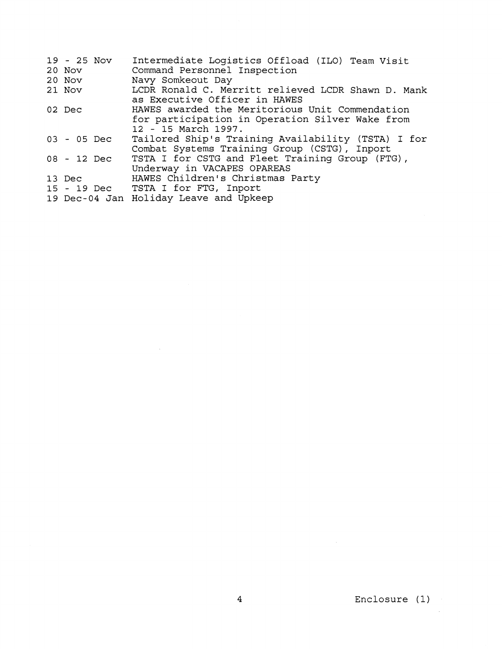| 19 - 25 Nov<br>20 Nov<br>20 Nov | Intermediate Logistics Offload (ILO) Team Visit<br>Command Personnel Inspection<br>Navy Somkeout Day                      |
|---------------------------------|---------------------------------------------------------------------------------------------------------------------------|
| 21 Nov                          | LCDR Ronald C. Merritt relieved LCDR Shawn D. Mank<br>as Executive Officer in HAWES                                       |
| 02 Dec                          | HAWES awarded the Meritorious Unit Commendation<br>for participation in Operation Silver Wake from<br>12 - 15 March 1997. |
| $03 - 05$ Dec                   | Tailored Ship's Training Availability (TSTA) I for<br>Combat Systems Training Group (CSTG), Inport                        |
| 08 - 12 Dec                     | TSTA I for CSTG and Fleet Training Group (FTG),<br>Underway in VACAPES OPAREAS                                            |
| 13 Dec                          | HAWES Children's Christmas Party                                                                                          |
|                                 | 15 - 19 Dec TSTA I for FTG, Inport                                                                                        |
|                                 | 19 Dec-04 Jan Holiday Leave and Upkeep                                                                                    |

 $\label{eq:2.1} \frac{1}{\sqrt{2}}\left(\frac{1}{\sqrt{2}}\right)^{2} \left(\frac{1}{\sqrt{2}}\right)^{2} \left(\frac{1}{\sqrt{2}}\right)^{2} \left(\frac{1}{\sqrt{2}}\right)^{2} \left(\frac{1}{\sqrt{2}}\right)^{2} \left(\frac{1}{\sqrt{2}}\right)^{2} \left(\frac{1}{\sqrt{2}}\right)^{2} \left(\frac{1}{\sqrt{2}}\right)^{2} \left(\frac{1}{\sqrt{2}}\right)^{2} \left(\frac{1}{\sqrt{2}}\right)^{2} \left(\frac{1}{\sqrt{2}}\right)^{2} \left(\$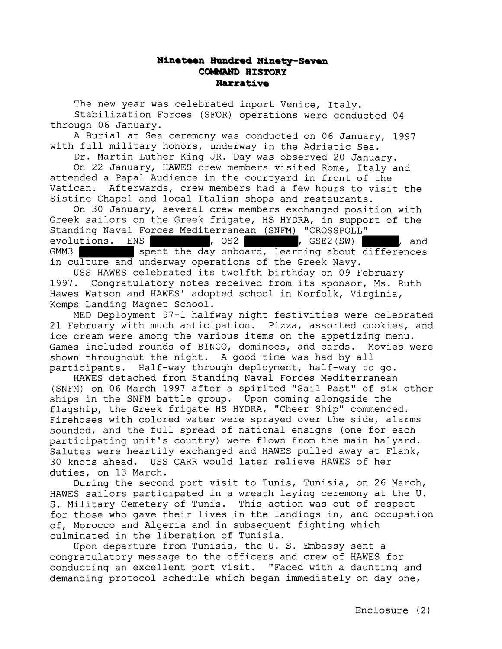## **Ninatean Hundrod Ninety-Seven COMQUD HISTORY Narrative**

The new year was celebrated inport Venice, Italy. Stabilization Forces (SFOR) operations were conducted 04 through 06 January.

A Burial at Sea ceremony was conducted on 06 January, 1997 with full military honors, underway in the Adriatic Sea.

Dr. Martin Luther King JR. Day was observed 20 January.

On 22 January, HAWES crew members visited Rome, Italy and attended a Papal Audience in the courtyard in front of the Vatican. Afterwards, crew members had a few hours to visit the Sistine Chapel and local Italian shops and restaurants.

On 30 January, several crew members exchanged position with Greek sailors on the Greek frigate, HS HYDRA, in support of the Standing Naval Forces Mediterranean (SNFM) "CROSSPOLL" evolutions. ENS , 052 , 052 , GSE2(SW) , and GMM3 spent the day onboard, learning about differences in culture and underway operations of the Greek Navy.

USS HAWES celebrated its twelfth birthday on 09 February 1997. Congratulatory notes received from its sponsor, Ms. Ruth Hawes Watson and HAWES' adopted school in Norfolk, Virginia, Kemps Landing Magnet School.

MED Deployment 97-1 halfway night festivities were celebrated 21 February with much anticipation. Pizza, assorted cookies, and ice cream were among the various items on the appetizing menu. Games included rounds of BINGO, dominoes, and cards. Movies were shown throughout the night. A good time was had by all participants. Half-way through deployment, half-way to go.

HAWES detached from Standing Naval Forces Mediterranean (SNFM) on 06 March 1997 after a spirited "Sail Past" of six other ships in the SNFM battle group. Upon coming alongside the flagship, the Greek frigate HS HYDRA, "Cheer Ship" commenced. Firehoses with colored water were sprayed over the side, alarms sounded, and the full spread of national ensigns (one for each participating unit's country) were flown from the main halyard. Salutes were heartily exchanged and HAWES pulled away at Flank, 30 knots ahead. USS CARR would later relieve HAWES of her duties, on 13 March.

During the second port visit to Tunis, Tunisia, on 26 March, HAWES sailors participated in a wreath laying ceremony at the U. S. Military Cemetery of Tunis. This action was out of respect for those who gave their lives in the landings in, and occupation of, Morocco and Algeria and in subsequent fighting which culminated in the liberation of Tunisia.

Upon departure from Tunisia, the U. S. Embassy sent a congratulatory message to the officers and crew of HAWES for conducting an excellent port visit. "Faced with a daunting and demanding protocol schedule which began immediately on day one,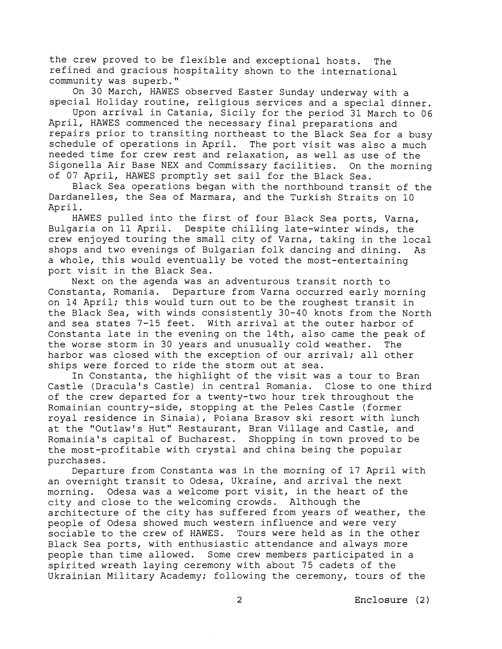the crew proved to be flexible and exceptional hosts. The refined and gracious hospitality shown to the international community was superb."

On 30 March, HAWES observed Easter Sunday underway with a special Holiday routine, religious services and a special dinner.

Upon arrival in Catania, Sicily for the period 31 March to 06 April, HAWES commenced the necessary final preparations and repairs prior to transiting northeast to the Black Sea for a busy schedule of operations in April. The port visit was also a much needed time for crew rest and relaxation, as well as use of the Sigonella Air Base NEX and Commissary facilities. On the morning of 07 April, HAWES promptly set sail for the Black Sea.

Black Sea operations began with the northbound transit of the Dardanelles, the Sea of Marmara, and the Turkish Straits on 10 April.

HAWES pulled into the first of four Black Sea ports, Varna, Bulgaria on 11 April. Despite chilling late-winter winds, the crew enjoyed touring the small city of Varna, taking in the local shops and two evenings of Bulgarian folk dancing and dining. As a whole, this would eventually be voted the most-entertaining port visit in the Black Sea.

Next on the agenda was an adventurous transit north to Constanta, Romania. Departure from Varna occurred early morning on 14 April; this would turn out to be the roughest transit in the Black Sea, with winds consistently 30-40 knots from the North and sea states 7-15 feet. With arrival at the outer harbor of Constanta late in the evening on the 14th, also came the peak of the worse storm in 30 years and unusually cold weather. The harbor was closed with the exception of our arrival; all other ships were forced to ride the storm out at sea.

In Constanta, the highlight of the visit was a tour to Bran Castle (Dracula's Castle) in central Romania. Close to one third of the crew departed for a twenty-two hour trek throughout the Romainian country-side, stopping at the Peles Castle (former royal residence in Sinaia), Poiana Brasov ski resort with lunch at the "Outlaw's Hut" Restaurant, Bran Village and Castle, and Romainia's capital of Bucharest. Shopping in town proved to be the most-profitable with crystal and china being the popular purchases.

Departure from Constanta was in the morning of 17 April with an overnight transit to Odesa, Ukraine, and arrival the next morning. Odesa was a welcome port visit, in the heart of the city and close to the welcoming crowds. Although the architecture of the city has suffered from years of weather, the people of Odesa showed much western influence and were very sociable to the crew of HAWES. Tours were held as in the other Black Sea ports, with enthusiastic attendance and always more people than time allowed. Some crew members participated in a spirited wreath laying ceremony with about 75 cadets of the Ukrainian Military Academy; following the ceremony, tours of the

2 **Enclosure** (2)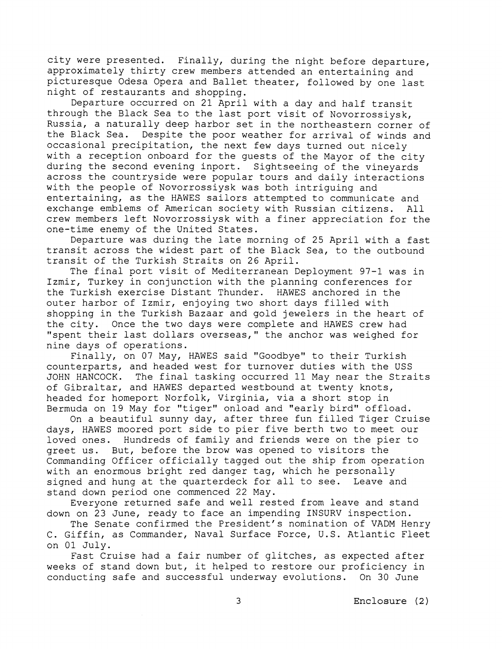city were presented. Finally, during the night before departure, approximately thirty crew members attended an entertaining and picturesque Odesa Opera and Ballet theater, followed by one last night of restaurants and shopping.

Departure occurred on 21 April with a day and half transit through the Black Sea to the last port visit of Novorrossiysk, Russia, a naturally deep harbor set in the northeastern corner of the Black Sea. Despite the poor weather for arrival of winds and occasional precipitation, the next few days turned out nicely with a reception onboard for the guests of the Mayor of the city during the second evening inport. Sightseeing of the vineyards across the countryside were popular tours and daily interactions with the people of Novorrossiysk was both intriguing and entertaining, as the HAWES sailors attempted to communicate and exchange emblems of American society with Russian citizens. All crew members left Novorrossiysk with a finer appreciation for the one-time enemy of the United States.

Departure was during the late morning of 25 April with a fast transit across the widest part of the Black Sea, to the outbound transit of the Turkish Straits on 26 April.

The final port visit of Mediterranean Deployment 97-1 was in Izmir, Turkey in conjunction with the planning conferences for the Turkish exercise Distant Thunder. HAWES anchored in the outer harbor of Izmir, enjoying two short days filled with shopping in the Turkish Bazaar and gold jewelers in the heart of the city. Once the two days were complete and HAWES crew had "spent their last dollars overseas," the anchor was weighed for nine days of operations.

Finally, on 07 May, HAWES said "Goodbye" to their Turkish counterparts, and headed west for turnover duties with the USS JOHN HANCOCK. The final tasking occurred 11 May near the Straits of Gibraltar, and HAWES departed westbound at twenty knots, headed for homeport Norfolk, Virginia, via a short stop in Bermuda on 19 May for "tiger" onload and "early bird" offload.

On a beautiful sunny day, after three fun filled Tiger Cruise days, HAWES moored port side to pier five berth two to meet our loved ones. Hundreds of family and friends were on the pier to greet us. But, before the brow was opened to visitors the Commanding Officer officially tagged out the ship from operation with an enormous bright red danger tag, which he personally signed and hung at the quarterdeck for all to see. Leave and stand down period one commenced 22 May.

Everyone returned safe and well rested from leave and stand down on 23 June, ready to face an impending INSURV inspection.

The Senate confirmed the President's nomination of VADM Henry C. Giffin, as Commander, Naval Surface Force, U.S. Atlantic Fleet on 01 July.

Fast Cruise had a fair number of glitches, as expected after weeks of stand down but, it helped to restore our proficiency in conducting safe and successful underway evolutions. On 30 June

3 Enclosure (2)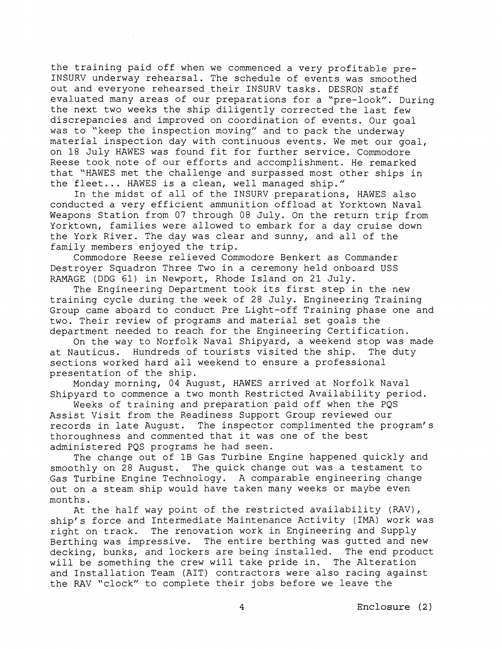the training paid off when we commenced a very profitable pre-INSURV underway rehearsal. The schedule of events was smoothed out and everyone rehearsed their INSURV tasks. DESRON staff evaluated many areas of our preparations for a "pre-look". During the next two weeks the ship diligently corrected the last few discrepancies and improved on coordination of events. Our goal was to "keep the inspection moving" and to pack the underway material inspection day with continuous events. We met our goal, on 18 July HAWES was found fit for further service. Commodore Reese took note of our efforts and accomplishment. He remarked that "HAWES met the challenge and surpassed most other ships in the fleet... HAWES is a clean, well managed ship."

In the midst of all of the INSURV preparations, HAWES also conducted a very efficient ammunition offload at Yorktown Naval Weapons Station from 07 through 08 July. On the return trip from Yorktown, families were allowed to embark for a day cruise down the York River. The day was clear and sunny, and all of the family members enjoyed the trip.

Commodore Reese relieved Commodore Benkert as Commander Destroyer Squadron Three Two in a ceremony held onboard USS RAMAGE (DDG 61) in Newport, Rhode Island on 21 July.

The Engineering Department took its first step in the new training cycle during the week of 28 July. Engineering Training Group came aboard to conduct Pre Light-off Training phase one and two. Their review of programs and material set goals the department needed to reach for the Engineering Certification.

On the way to Norfolk Naval Shipyard, a weekend stop was made at Nauticus. Hundreds of tourists visited the ship. The duty sections worked hard all weekend to ensure a professional presentation of the ship.

Monday morning, 04 August, HAWES arrived at Norfolk Naval Shipyard to commence a two month Restricted Availability period.

Weeks of training and preparation paid off when the PQS Assist Visit from the Readiness Support Group reviewed our records in late August. The inspector complimented the program's thoroughness and commented that it was one of the best administered PQS programs he had seen.

The change out of 1B Gas Turbine Engine happened quickly and smoothly on 28 August. The quick change out was a testament to Gas Turbine Engine Technology. A comparable engineering change out on a steam ship would have taken many weeks or maybe even months.

At the half way point of the restricted availability (RAV), ship's force and Intermediate Maintenance Activity (IMA) work was right on track. The renovation work in Engineering and Supply Berthing was impressive. The entire berthing was gutted and new decking, bunks, and lockers are being installed. The end product will be something the crew will take pride in. The Alteration and Installation Team (AIT) contractors were also racing against the RAV "clock" to complete their jobs before we leave the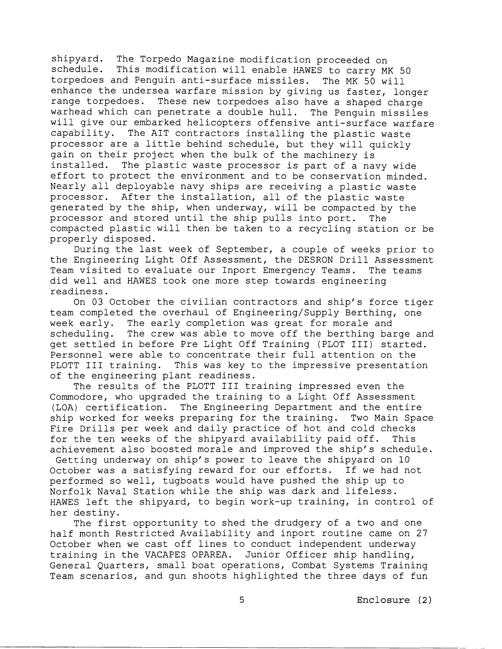shipyard. The Torpedo Magazine modification proceeded on schedule. This modification will enable HAWES to carry MU This modification will enable HAWES to carry MK 50 torpedoes and Penguin anti-surface missiles. The MK 50 will enhance the undersea warfare mission by giving us faster, longer range torpedoes. These new torpedoes also have a shaped charge warhead which can penetrate a double hull. The Penguin missiles will give our embarked helicopters offensive anti-surface warfare capability. The AIT contractors installing the plastic waste processor are a little behind schedule, but they will quickly gain on their project when the bulk of the machinery is installed. The plastic waste processor is part of a navy wide effort to protect the environment and to be conservation minded. Nearly all deployable navy ships are receiving a plastic waste processor. After the installation, all of the plastic waste generated by the ship, when underway, will be compacted by the processor and stored until the ship pulls into port. The compacted plastic will then be taken to a recycling station or be properly disposed.

During the last week of September, a couple of weeks prior to the Engineering Light Off Assessment, the DESRON Drill Assessment Team visited to evaluate our Inport Emergency Teams. The teams did well and HAWES took one more step towards engineering readiness.

On 03 October the civilian contractors and ship's force tiger team completed the overhaul of Engineering/Supply Berthing, one week early. The early completion was great for morale and scheduling. The crew was able to move off the berthing barge and get settled in before Pre Light Off Training (PLOT 111) started. Personnel were able to concentrate their full attention on the PLOTT III training. This was key to the impressive presentation of the engineering plant readiness.

The results of the PLOTT I11 training impressed even the Commodore, who upgraded the training to a Light Off Assessment (LOA) certification. The Engineering Department and the entire ship worked for weeks preparing for the training. Two Main Space Fire Drills per week and daily practice of hot and cold checks for the ten weeks of the shipyard availability paid off. This achievement also boosted morale and improved the ship's schedule.

Getting underway on ship's power to leave the shipyard on 10 October was a satisfying reward for our efforts. If we had not performed so well, tugboats would have pushed the ship up to Norfolk Naval Station while the ship was dark and lifeless. HAWES left the shipyard, to begin work-up training, in control of her destiny.

The first opportunity to shed the drudgery of a two and one half month Restricted Availability and inport routine came on 27 October when we cast off lines to conduct independent underway training in the VACAPES OPAREA. Junior Officer ship handling, General Quarters, small boat operations, Combat Systems Training Team scenarios, and gun shoots highlighted the three days of fun

5 Enclosure (2)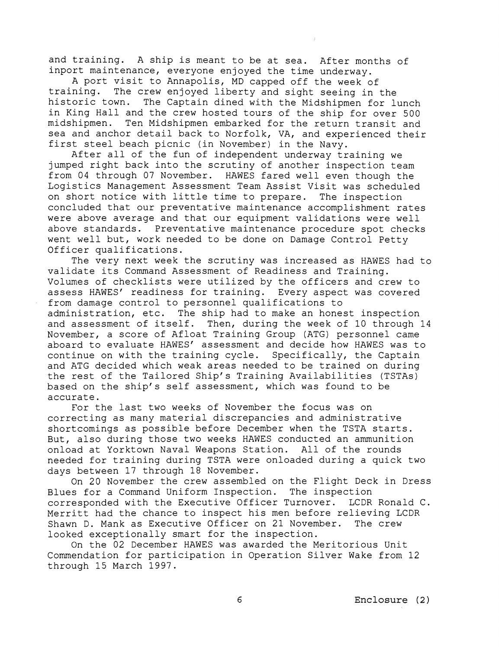and training. A ship is meant to be at sea. After months of inport maintenance, everyone enjoyed the time underway.

A port visit to Annapolis, MD capped off the week of training. The crew enjoyed liberty and sight seeing in The crew enjoyed liberty and sight seeing in the historic town. The Captain dined with the Midshipmen for lunch in King Hall and the crew hosted tours of the ship for over 500 midshipmen. Ten Midshipmen embarked for the return transit and sea and anchor detail back to Norfolk, VA, and experienced their first steel beach picnic (in November) in the Navy.

After all of the fun of independent underway training we jumped right back into the scrutiny of another inspection team from 04 through 07 November. HAWES fared well even though the Logistics Management Assessment Team Assist Visit was scheduled on short notice with little time to prepare. The inspection concluded that our preventative maintenance accomplishment rates were above average and that our equipment validations were well above standards. Preventative maintenance procedure spot checks went well but, work needed to be done on Damage Control Petty Officer qualifications.

The very next week the scrutiny was increased as HAWES had to validate its Command Assessment of Readiness and Training. Volumes of checklists were utilized by the officers and crew to assess HAWES' readiness for training. Every aspect was covered from damage control to personnel qualifications to administration, etc. The ship had to make an honest inspection and assessment of itself. Then, during the week of 10 through 14 November, a score of Afloat Training Group (ATG) personnel came aboard to evaluate HAWES' assessment and decide how HAWES was to continue on with the training cycle. Specifically, the Captain and ATG decided which weak areas needed to be trained on during the rest of the Tailored Ship's Training Availabilities (TSTAs) based on the ship's self assessment, which was found to be accurate.

For the last two weeks of November the focus was on correcting as many material discrepancies and administrative shortcomings as possible before December when the TSTA starts. But, also during those two weeks HAWES conducted an ammunition onload at Yorktown Naval Weapons Station. All of the rounds needed for training during TSTA were onloaded during a quick two days between 17 through 18 November.

On 20 November the crew assembled on the Flight Deck in Dress Blues for a Command Uniform Inspection. The inspection corresponded with the Executive Officer Turnover. LCDR Ronald C. Merritt had the chance to inspect his men before relieving LCDR Shawn D. Mank as Executive Officer on 21 November. The crew looked exceptionally smart for the inspection.

On the 02 December HAWES was awarded the Meritorious Unit Commendation for participation in Operation Silver Wake from 12 through 15 March 1997.